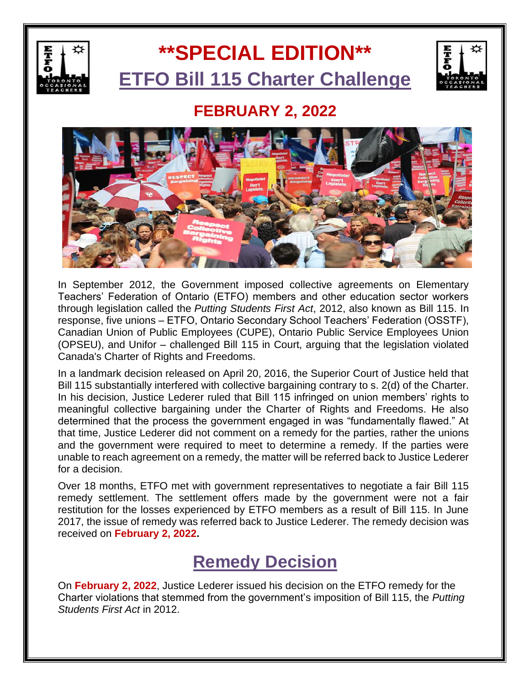

# **\*\*SPECIAL EDITION\*\* ETFO Bill 115 Charter Challenge**



#### **FEBRUARY 2, 2022**



In September 2012, the Government imposed collective agreements on Elementary Teachers' Federation of Ontario (ETFO) members and other education sector workers through legislation called the *Putting Students First Act*, 2012, also known as Bill 115. In response, five unions – ETFO, Ontario Secondary School Teachers' Federation (OSSTF), Canadian Union of Public Employees (CUPE), Ontario Public Service Employees Union (OPSEU), and Unifor – challenged Bill 115 in Court, arguing that the legislation violated Canada's Charter of Rights and Freedoms.

In a landmark decision released on April 20, 2016, the Superior Court of Justice held that Bill 115 substantially interfered with collective bargaining contrary to s. 2(d) of the Charter. In his decision, Justice Lederer ruled that Bill 115 infringed on union members' rights to meaningful collective bargaining under the Charter of Rights and Freedoms. He also determined that the process the government engaged in was "fundamentally flawed." At that time, Justice Lederer did not comment on a remedy for the parties, rather the unions and the government were required to meet to determine a remedy. If the parties were unable to reach agreement on a remedy, the matter will be referred back to Justice Lederer for a decision.

Over 18 months, ETFO met with government representatives to negotiate a fair Bill 115 remedy settlement. The settlement offers made by the government were not a fair restitution for the losses experienced by ETFO members as a result of Bill 115. In June 2017, the issue of remedy was referred back to Justice Lederer. The remedy decision was received on **February 2, 2022.**

#### **Remedy Decision**

On **February 2, 2022**, Justice Lederer issued his decision on the ETFO remedy for the Charter violations that stemmed from the government's imposition of Bill 115, the *Putting Students First Act* in 2012.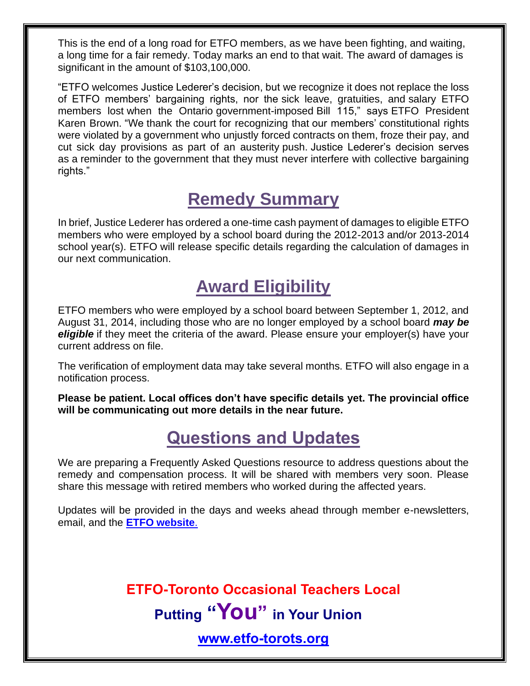This is the end of a long road for ETFO members, as we have been fighting, and waiting, a long time for a fair remedy. Today marks an end to that wait. The award of damages is significant in the amount of \$103,100,000.

"ETFO welcomes Justice Lederer's decision, but we recognize it does not replace the loss of ETFO members' bargaining rights, nor the sick leave, gratuities, and salary ETFO members lost when the Ontario government-imposed Bill 115," says ETFO President Karen Brown. "We thank the court for recognizing that our members' constitutional rights were violated by a government who unjustly forced contracts on them, froze their pay, and cut sick day provisions as part of an austerity push. Justice Lederer's decision serves as a reminder to the government that they must never interfere with collective bargaining rights."

# **Remedy Summary**

In brief, Justice Lederer has ordered a one-time cash payment of damages to eligible ETFO members who were employed by a school board during the 2012-2013 and/or 2013-2014 school year(s). ETFO will release specific details regarding the calculation of damages in our next communication.

### **Award Eligibility**

ETFO members who were employed by a school board between September 1, 2012, and August 31, 2014, including those who are no longer employed by a school board *may be eligible* if they meet the criteria of the award. Please ensure your employer(s) have your current address on file.

The verification of employment data may take several months. ETFO will also engage in a notification process.

**Please be patient. Local offices don't have specific details yet. The provincial office will be communicating out more details in the near future.**

# **Questions and Updates**

We are preparing a Frequently Asked Questions resource to address questions about the remedy and compensation process. It will be shared with members very soon. Please share this message with retired members who worked during the affected years.

Updates will be provided in the days and weeks ahead through member e-newsletters, email, and the **[ETFO website](https://www.etfo.ca/)**.

> **ETFO-Toronto Occasional Teachers Local Putting "You" in Your Union**

> > **[www.etfo-torots.org](file:///G:/www.etfo-torots.org)**